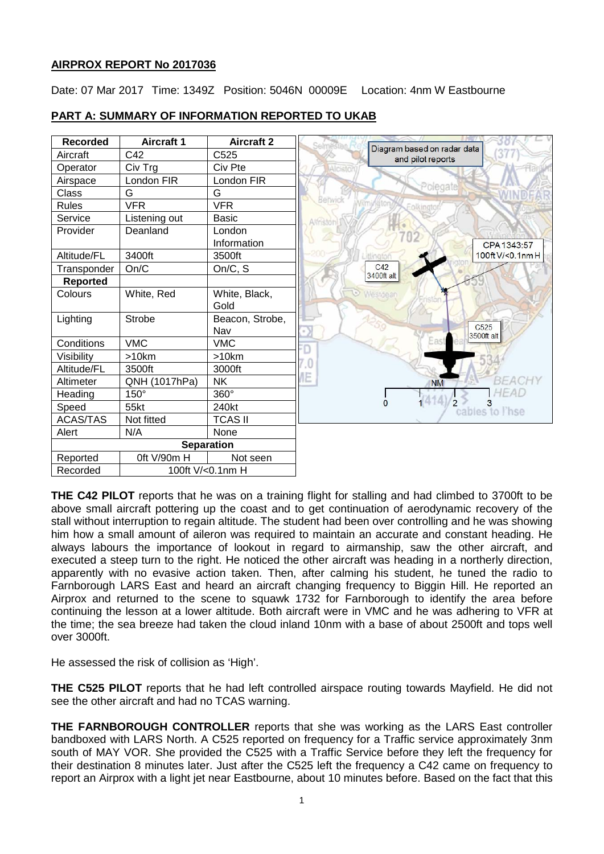# **AIRPROX REPORT No 2017036**

Date: 07 Mar 2017 Time: 1349Z Position: 5046N 00009E Location: 4nm W Eastbourne



# **PART A: SUMMARY OF INFORMATION REPORTED TO UKAB**

**THE C42 PILOT** reports that he was on a training flight for stalling and had climbed to 3700ft to be above small aircraft pottering up the coast and to get continuation of aerodynamic recovery of the stall without interruption to regain altitude. The student had been over controlling and he was showing him how a small amount of aileron was required to maintain an accurate and constant heading. He always labours the importance of lookout in regard to airmanship, saw the other aircraft, and executed a steep turn to the right. He noticed the other aircraft was heading in a northerly direction, apparently with no evasive action taken. Then, after calming his student, he tuned the radio to Farnborough LARS East and heard an aircraft changing frequency to Biggin Hill. He reported an Airprox and returned to the scene to squawk 1732 for Farnborough to identify the area before continuing the lesson at a lower altitude. Both aircraft were in VMC and he was adhering to VFR at the time; the sea breeze had taken the cloud inland 10nm with a base of about 2500ft and tops well over 3000ft.

He assessed the risk of collision as 'High'.

**THE C525 PILOT** reports that he had left controlled airspace routing towards Mayfield. He did not see the other aircraft and had no TCAS warning.

**THE FARNBOROUGH CONTROLLER** reports that she was working as the LARS East controller bandboxed with LARS North. A C525 reported on frequency for a Traffic service approximately 3nm south of MAY VOR. She provided the C525 with a Traffic Service before they left the frequency for their destination 8 minutes later. Just after the C525 left the frequency a C42 came on frequency to report an Airprox with a light jet near Eastbourne, about 10 minutes before. Based on the fact that this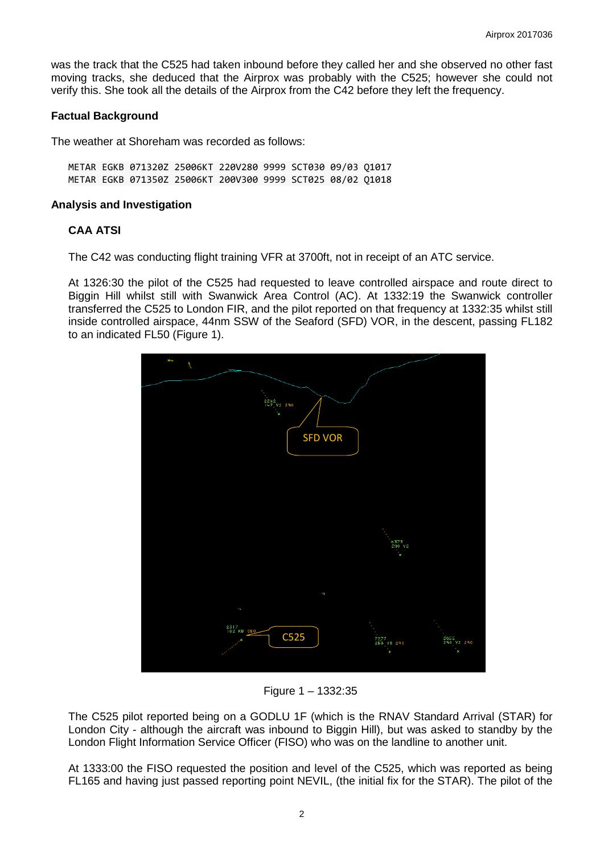was the track that the C525 had taken inbound before they called her and she observed no other fast moving tracks, she deduced that the Airprox was probably with the C525; however she could not verify this. She took all the details of the Airprox from the C42 before they left the frequency.

## **Factual Background**

The weather at Shoreham was recorded as follows:

METAR EGKB 071320Z 25006KT 220V280 9999 SCT030 09/03 Q1017 METAR EGKB 071350Z 25006KT 200V300 9999 SCT025 08/02 Q1018

#### **Analysis and Investigation**

## **CAA ATSI**

The C42 was conducting flight training VFR at 3700ft, not in receipt of an ATC service.

At 1326:30 the pilot of the C525 had requested to leave controlled airspace and route direct to Biggin Hill whilst still with Swanwick Area Control (AC). At 1332:19 the Swanwick controller transferred the C525 to London FIR, and the pilot reported on that frequency at 1332:35 whilst still inside controlled airspace, 44nm SSW of the Seaford (SFD) VOR, in the descent, passing FL182 to an indicated FL50 (Figure 1).



Figure 1 – 1332:35

The C525 pilot reported being on a GODLU 1F (which is the RNAV Standard Arrival (STAR) for London City - although the aircraft was inbound to Biggin Hill), but was asked to standby by the London Flight Information Service Officer (FISO) who was on the landline to another unit.

At 1333:00 the FISO requested the position and level of the C525, which was reported as being FL165 and having just passed reporting point NEVIL, (the initial fix for the STAR). The pilot of the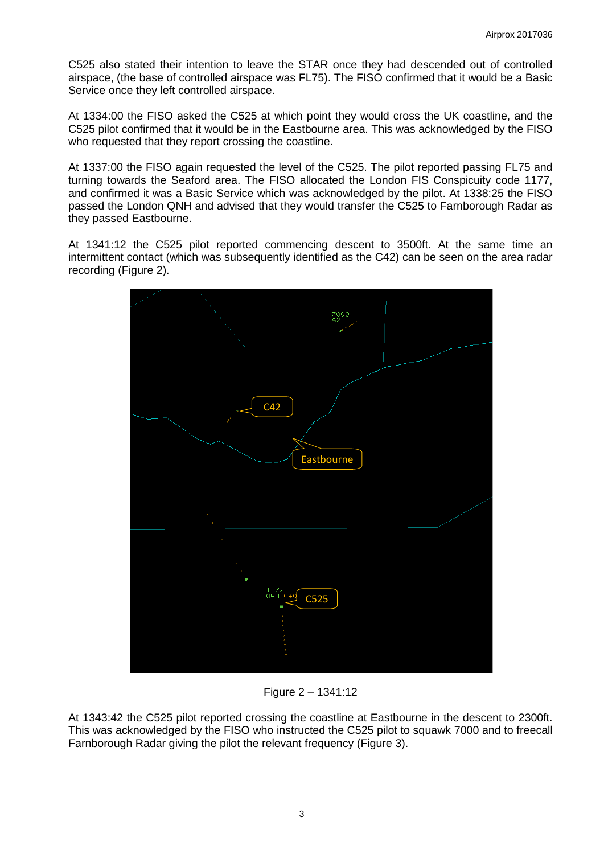C525 also stated their intention to leave the STAR once they had descended out of controlled airspace, (the base of controlled airspace was FL75). The FISO confirmed that it would be a Basic Service once they left controlled airspace.

At 1334:00 the FISO asked the C525 at which point they would cross the UK coastline, and the C525 pilot confirmed that it would be in the Eastbourne area. This was acknowledged by the FISO who requested that they report crossing the coastline.

At 1337:00 the FISO again requested the level of the C525. The pilot reported passing FL75 and turning towards the Seaford area. The FISO allocated the London FIS Conspicuity code 1177, and confirmed it was a Basic Service which was acknowledged by the pilot. At 1338:25 the FISO passed the London QNH and advised that they would transfer the C525 to Farnborough Radar as they passed Eastbourne.

At 1341:12 the C525 pilot reported commencing descent to 3500ft. At the same time an intermittent contact (which was subsequently identified as the C42) can be seen on the area radar recording (Figure 2).



Figure 2 – 1341:12

At 1343:42 the C525 pilot reported crossing the coastline at Eastbourne in the descent to 2300ft. This was acknowledged by the FISO who instructed the C525 pilot to squawk 7000 and to freecall Farnborough Radar giving the pilot the relevant frequency (Figure 3).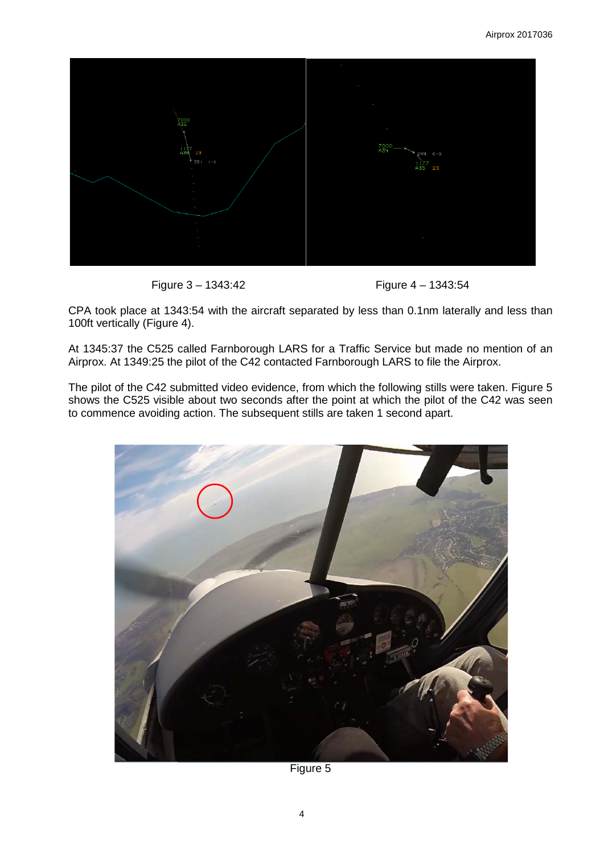

Figure 3 – 1343:42 Figure 4 – 1343:54

CPA took place at 1343:54 with the aircraft separated by less than 0.1nm laterally and less than 100ft vertically (Figure 4).

At 1345:37 the C525 called Farnborough LARS for a Traffic Service but made no mention of an Airprox. At 1349:25 the pilot of the C42 contacted Farnborough LARS to file the Airprox.

The pilot of the C42 submitted video evidence, from which the following stills were taken. Figure 5 shows the C525 visible about two seconds after the point at which the pilot of the C42 was seen to commence avoiding action. The subsequent stills are taken 1 second apart.



Figure 5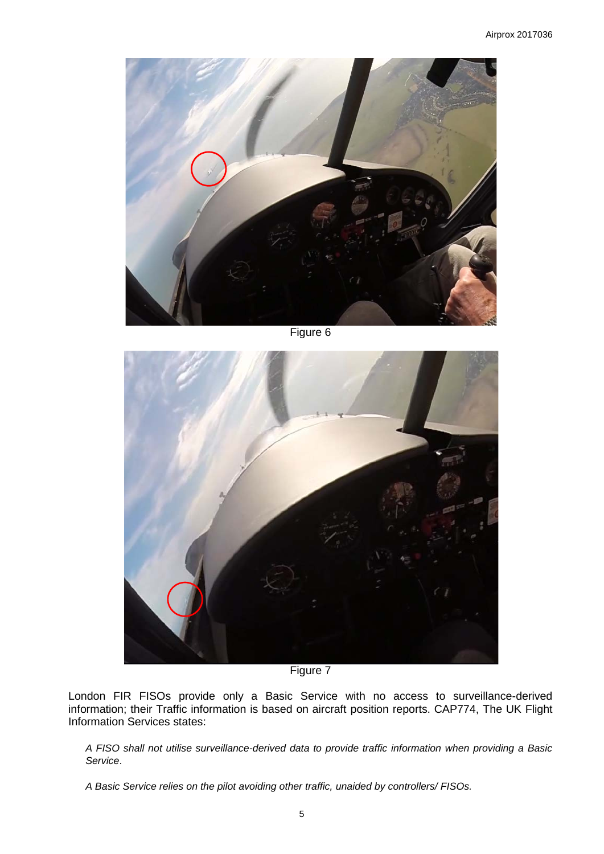

Figure 6



Figure 7

London FIR FISOs provide only a Basic Service with no access to surveillance-derived information; their Traffic information is based on aircraft position reports. CAP774, The UK Flight Information Services states:

*A FISO shall not utilise surveillance-derived data to provide traffic information when providing a Basic Service*.

*A Basic Service relies on the pilot avoiding other traffic, unaided by controllers/ FISOs.*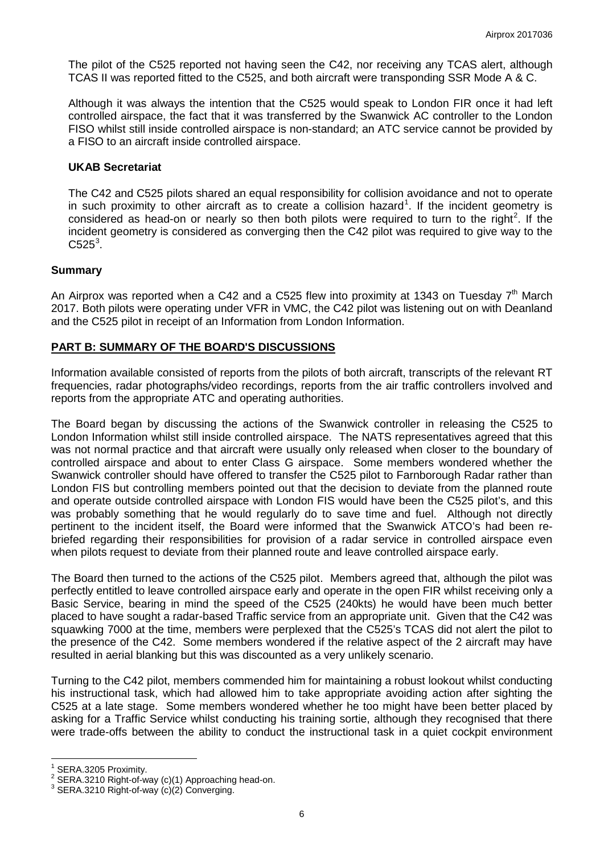The pilot of the C525 reported not having seen the C42, nor receiving any TCAS alert, although TCAS II was reported fitted to the C525, and both aircraft were transponding SSR Mode A & C.

Although it was always the intention that the C525 would speak to London FIR once it had left controlled airspace, the fact that it was transferred by the Swanwick AC controller to the London FISO whilst still inside controlled airspace is non-standard; an ATC service cannot be provided by a FISO to an aircraft inside controlled airspace.

#### **UKAB Secretariat**

The C42 and C525 pilots shared an equal responsibility for collision avoidance and not to operate in such proximity to other aircraft as to create a collision hazard<sup>[1](#page-5-0)</sup>. If the incident geometry is considered as head-on or nearly so then both pilots were required to turn to the right<sup>[2](#page-5-1)</sup>. If the incident geometry is considered as converging then the C42 pilot was required to give way to the  $C525^3$  $C525^3$ .

## **Summary**

An Airprox was reported when a C42 and a C525 flew into proximity at 1343 on Tuesday  $7<sup>th</sup>$  March 2017. Both pilots were operating under VFR in VMC, the C42 pilot was listening out on with Deanland and the C525 pilot in receipt of an Information from London Information.

# **PART B: SUMMARY OF THE BOARD'S DISCUSSIONS**

Information available consisted of reports from the pilots of both aircraft, transcripts of the relevant RT frequencies, radar photographs/video recordings, reports from the air traffic controllers involved and reports from the appropriate ATC and operating authorities.

The Board began by discussing the actions of the Swanwick controller in releasing the C525 to London Information whilst still inside controlled airspace. The NATS representatives agreed that this was not normal practice and that aircraft were usually only released when closer to the boundary of controlled airspace and about to enter Class G airspace. Some members wondered whether the Swanwick controller should have offered to transfer the C525 pilot to Farnborough Radar rather than London FIS but controlling members pointed out that the decision to deviate from the planned route and operate outside controlled airspace with London FIS would have been the C525 pilot's, and this was probably something that he would regularly do to save time and fuel. Although not directly pertinent to the incident itself, the Board were informed that the Swanwick ATCO's had been rebriefed regarding their responsibilities for provision of a radar service in controlled airspace even when pilots request to deviate from their planned route and leave controlled airspace early.

The Board then turned to the actions of the C525 pilot. Members agreed that, although the pilot was perfectly entitled to leave controlled airspace early and operate in the open FIR whilst receiving only a Basic Service, bearing in mind the speed of the C525 (240kts) he would have been much better placed to have sought a radar-based Traffic service from an appropriate unit. Given that the C42 was squawking 7000 at the time, members were perplexed that the C525's TCAS did not alert the pilot to the presence of the C42. Some members wondered if the relative aspect of the 2 aircraft may have resulted in aerial blanking but this was discounted as a very unlikely scenario.

Turning to the C42 pilot, members commended him for maintaining a robust lookout whilst conducting his instructional task, which had allowed him to take appropriate avoiding action after sighting the C525 at a late stage. Some members wondered whether he too might have been better placed by asking for a Traffic Service whilst conducting his training sortie, although they recognised that there were trade-offs between the ability to conduct the instructional task in a quiet cockpit environment

<span id="page-5-1"></span><span id="page-5-0"></span><sup>&</sup>lt;sup>1</sup> SERA.3205 Proximity.<br><sup>2</sup> SERA.3210 Right-of-way (c)(1) Approaching head-on.<br><sup>3</sup> SERA.3210 Right-of-way (c)(2) Converging.

<span id="page-5-2"></span>